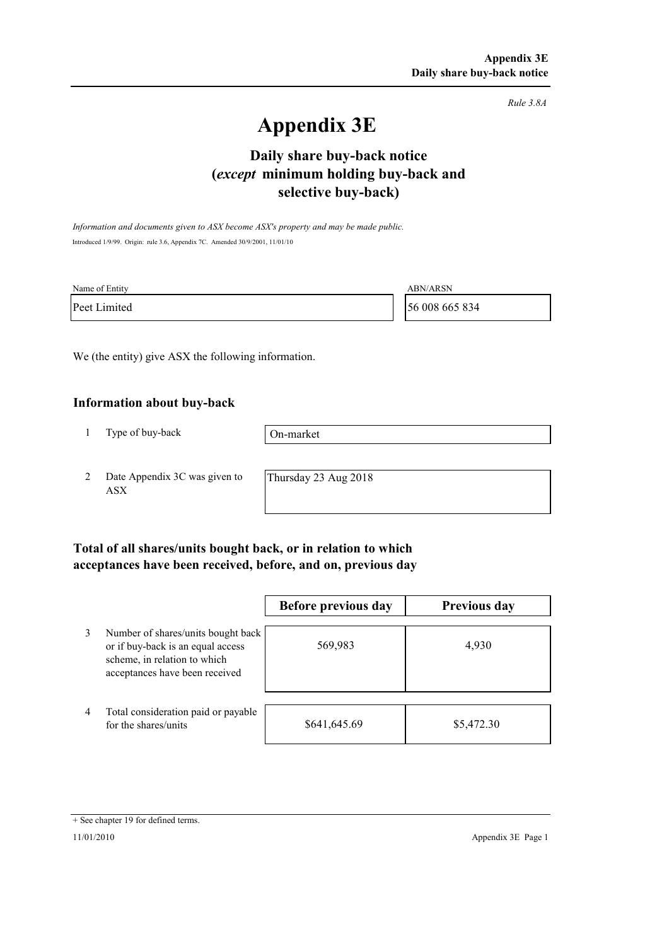*Rule 3.8A*

# **Appendix 3E**

## **selective buy-back) Daily share buy-back notice (***except* **minimum holding buy-back and**

*Information and documents given to ASX become ASX's property and may be made public.* Introduced 1/9/99. Origin: rule 3.6, Appendix 7C. Amended 30/9/2001, 11/01/10

| Name of Entity | ABN/ARSN       |
|----------------|----------------|
| Peet Limited   | 56 008 665 834 |

We (the entity) give ASX the following information.

#### **Information about buy-back**

1 Type of buy-back

On-market

2 Date Appendix 3C was given to ASX

Thursday 23 Aug 2018

### **Total of all shares/units bought back, or in relation to which acceptances have been received, before, and on, previous day**

|   |                                                                                                                                           | Before previous day | <b>Previous day</b> |
|---|-------------------------------------------------------------------------------------------------------------------------------------------|---------------------|---------------------|
| 3 | Number of shares/units bought back<br>or if buy-back is an equal access<br>scheme, in relation to which<br>acceptances have been received | 569,983             | 4,930               |
| 4 | Total consideration paid or payable<br>for the shares/units                                                                               | \$641,645.69        | \$5,472.30          |

<sup>+</sup> See chapter 19 for defined terms.